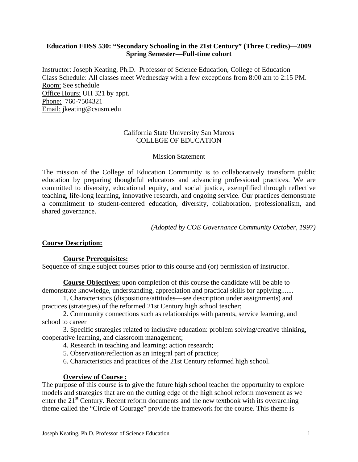# **Education EDSS 530: "Secondary Schooling in the 21st Century" (Three Credits)—2009 Spring Semester—Full-time cohort**

Instructor: Joseph Keating, Ph.D. Professor of Science Education, College of Education Class Schedule: All classes meet Wednesday with a few exceptions from 8:00 am to 2:15 PM. Room: See schedule Office Hours: UH 321 by appt. Phone: 760-7504321 Email: jkeating@csusm.edu

# California State University San Marcos COLLEGE OF EDUCATION

### Mission Statement

The mission of the College of Education Community is to collaboratively transform public education by preparing thoughtful educators and advancing professional practices. We are committed to diversity, educational equity, and social justice, exemplified through reflective teaching, life-long learning, innovative research, and ongoing service. Our practices demonstrate a commitment to student-centered education, diversity, collaboration, professionalism, and shared governance.

*(Adopted by COE Governance Community October, 1997)* 

# **Course Description:**

# **Course Prerequisites:**

Sequence of single subject courses prior to this course and (or) permission of instructor.

**Course Objectives:** upon completion of this course the candidate will be able to demonstrate knowledge, understanding, appreciation and practical skills for applying.......

1. Characteristics (dispositions/attitudes—see description under assignments) and practices (strategies) of the reformed 21st Century high school teacher;

2. Community connections such as relationships with parents, service learning, and school to career

3. Specific strategies related to inclusive education: problem solving/creative thinking, cooperative learning, and classroom management;

4. Research in teaching and learning: action research;

5. Observation/reflection as an integral part of practice;

6. Characteristics and practices of the 21st Century reformed high school.

# **Overview of Course :**

The purpose of this course is to give the future high school teacher the opportunity to explore models and strategies that are on the cutting edge of the high school reform movement as we enter the  $21<sup>st</sup>$  Century. Recent reform documents and the new textbook with its overarching theme called the "Circle of Courage" provide the framework for the course. This theme is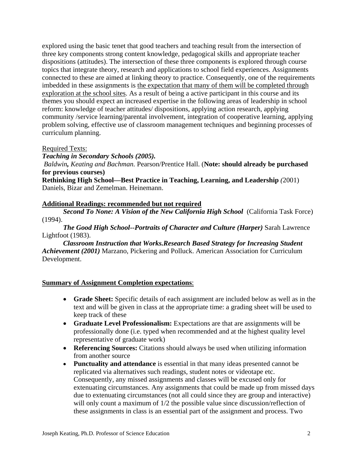explored using the basic tenet that good teachers and teaching result from the intersection of three key components strong content knowledge, pedagogical skills and appropriate teacher dispositions (attitudes). The intersection of these three components is explored through course topics that integrate theory, research and applications to school field experiences. Assignments connected to these are aimed at linking theory to practice. Consequently, one of the requirements imbedded in these assignments is the expectation that many of them will be completed through exploration at the school sites. As a result of being a active participant in this course and its themes you should expect an increased expertise in the following areas of leadership in school reform: knowledge of teacher attitudes/ dispositions, applying action research, applying community /service learning/parental involvement, integration of cooperative learning, applying problem solving, effective use of classroom management techniques and beginning processes of curriculum planning.

#### Required Texts:

*Teaching in Secondary Schools (2005).* 

*Baldwin, Keating and Bachman.* Pearson/Prentice Hall. (**Note: should already be purchased for previous courses)** 

**Rethinking High School—Best Practice in Teaching, Learning, and Leadership** *(*2001) Daniels, Bizar and Zemelman. Heinemann.

# **Additional Readings: recommended but not required**

 (1994). *Second To None: A Vision of the New California High School* (California Task Force)

*The Good High School--Portraits of Character and Culture (Harper)* Sarah Lawrence Lightfoot (1983).

*Classroom Instruction that Works.Research Based Strategy for Increasing Student Achievement (2001)* Marzano, Pickering and Polluck. American Association for Curriculum Development.

# **Summary of Assignment Completion expectations**:

- • **Grade Sheet:** Specific details of each assignment are included below as well as in the text and will be given in class at the appropriate time: a grading sheet will be used to keep track of these
- • **Graduate Level Professionalism:** Expectations are that are assignments will be professionally done (i.e. typed when recommended and at the highest quality level representative of graduate work)
- **Referencing Sources:** Citations should always be used when utilizing information from another source
- • **Punctuality and attendance** is essential in that many ideas presented cannot be replicated via alternatives such readings, student notes or videotape etc. Consequently, any missed assignments and classes will be excused only for extenuating circumstances. Any assignments that could be made up from missed days due to extenuating circumstances (not all could since they are group and interactive) will only count a maximum of  $1/2$  the possible value since discussion/reflection of these assignments in class is an essential part of the assignment and process. Two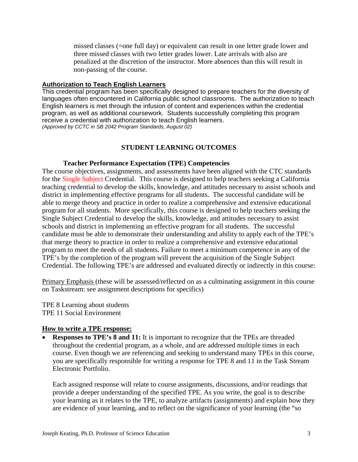missed classes (=one full day) or equivalent can result in one letter grade lower and three missed classes with two letter grades lower. Late arrivals with also are penalized at the discretion of the instructor. More absences than this will result in non-passing of the course.

#### **Authorization to Teach English Learners**

This credential program has been specifically designed to prepare teachers for the diversity of languages often encountered in California public school classrooms. The authorization to teach English learners is met through the infusion of content and experiences within the credential program, as well as additional coursework. Students successfully completing this program receive a credential with authorization to teach English learners. *(Approved by CCTC in SB 2042 Program Standards, August 02)* 

# **STUDENT LEARNING OUTCOMES**

### **Teacher Performance Expectation (TPE) Competencies**

The course objectives, assignments, and assessments have been aligned with the CTC standards for the Single Subject Credential. This course is designed to help teachers seeking a California teaching credential to develop the skills, knowledge, and attitudes necessary to assist schools and district in implementing effective programs for all students. The successful candidate will be able to merge theory and practice in order to realize a comprehensive and extensive educational program for all students. More specifically, this course is designed to help teachers seeking the Single Subject Credential to develop the skills, knowledge, and attitudes necessary to assist schools and district in implementing an effective program for all students. The successful candidate must be able to demonstrate their understanding and ability to apply each of the TPE's that merge theory to practice in order to realize a comprehensive and extensive educational program to meet the needs of all students. Failure to meet a minimum competence in any of the TPE's by the completion of the program will prevent the acquisition of the Single Subject Credential. The following TPE's are addressed and evaluated directly or indirectly in this course:

Primary Emphasis (these will be assessed/reflected on as a culminating assignment in this course on Taskstream: see assignment descriptions for specifics)

TPE 8 Learning about students TPE 11 Social Environment

# **How to write a TPE response:**

**Responses to TPE's 8 and 11:** It is important to recognize that the TPEs are threaded throughout the credential program, as a whole, and are addressed multiple times in each course. Even though we are referencing and seeking to understand many TPEs in this course, you are specifically responsible for writing a response for TPE 8 and 11 in the Task Stream Electronic Portfolio.

Each assigned response will relate to course assignments, discussions, and/or readings that provide a deeper understanding of the specified TPE. As you write, the goal is to describe your learning as it relates to the TPE, to analyze artifacts (assignments) and explain how they are evidence of your learning, and to reflect on the significance of your learning (the "so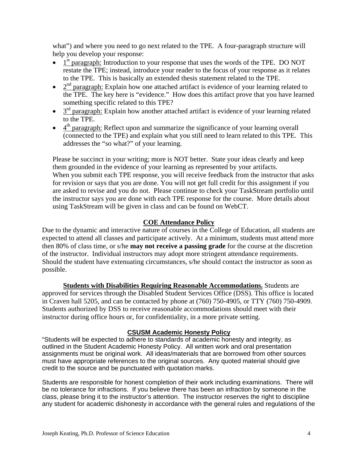what") and where you need to go next related to the TPE. A four-paragraph structure will help you develop your response:

- $\bullet$  1<sup>st</sup> paragraph: Introduction to your response that uses the words of the TPE. DO NOT restate the TPE; instead, introduce your reader to the focus of your response as it relates to the TPE. This is basically an extended thesis statement related to the TPE.
- $2<sup>nd</sup>$  paragraph: Explain how one attached artifact is evidence of your learning related to the TPE. The key here is "evidence." How does this artifact prove that you have learned something specific related to this TPE?
- $\bullet$  3<sup>rd</sup> paragraph: Explain how another attached artifact is evidence of your learning related to the TPE.
- $\bullet$  4<sup>th</sup> paragraph: Reflect upon and summarize the significance of your learning overall (connected to the TPE) and explain what you still need to learn related to this TPE. This addresses the "so what?" of your learning.

Please be succinct in your writing; more is NOT better. State your ideas clearly and keep them grounded in the evidence of your learning as represented by your artifacts. When you submit each TPE response, you will receive feedback from the instructor that asks for revision or says that you are done. You will not get full credit for this assignment if you are asked to revise and you do not. Please continue to check your TaskStream portfolio until the instructor says you are done with each TPE response for the course. More details about using TaskStream will be given in class and can be found on WebCT.

# **COE Attendance Policy**

Due to the dynamic and interactive nature of courses in the College of Education, all students are expected to attend all classes and participate actively. At a minimum, students must attend more then 80% of class time, or s/he **may not receive a passing grade** for the course at the discretion of the instructor. Individual instructors may adopt more stringent attendance requirements. Should the student have extenuating circumstances, s/he should contact the instructor as soon as possible.

**<u>Students with Disabilities Requiring Reasonable Accommodations.</u> Students are** approved for services through the Disabled Student Services Office (DSS). This office is located in Craven hall 5205, and can be contacted by phone at (760) 750-4905, or TTY (760) 750-4909. Students authorized by DSS to receive reasonable accommodations should meet with their instructor during office hours or, for confidentiality, in a more private setting.

# **CSUSM Academic Honesty Policy**

"Students will be expected to adhere to standards of academic honesty and integrity, as outlined in the Student Academic Honesty Policy. All written work and oral presentation assignments must be original work. All ideas/materials that are borrowed from other sources must have appropriate references to the original sources. Any quoted material should give credit to the source and be punctuated with quotation marks.

Students are responsible for honest completion of their work including examinations. There will be no tolerance for infractions. If you believe there has been an infraction by someone in the class, please bring it to the instructor's attention. The instructor reserves the right to discipline any student for academic dishonesty in accordance with the general rules and regulations of the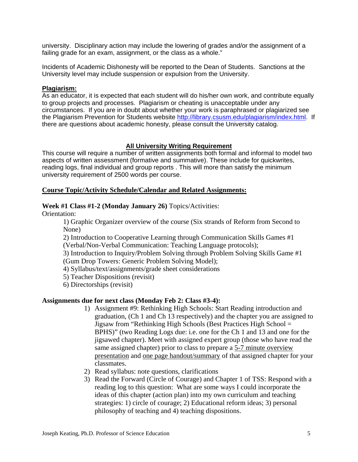university. Disciplinary action may include the lowering of grades and/or the assignment of a failing grade for an exam, assignment, or the class as a whole."

Incidents of Academic Dishonesty will be reported to the Dean of Students. Sanctions at the University level may include suspension or expulsion from the University.

#### **Plagiarism:**

As an educator, it is expected that each student will do his/her own work, and contribute equally to group projects and processes. Plagiarism or cheating is unacceptable under any circumstances. If you are in doubt about whether your work is paraphrased or plagiarized see the Plagiarism Prevention for Students website http://library.csusm.edu/plagiarism/index.html. If there are questions about academic honesty, please consult the University catalog.

# **All University Writing Requirement**

This course will require a number of written assignments both formal and informal to model two aspects of written assessment (formative and summative). These include for quickwrites, reading logs, final individual and group reports . This will more than satisfy the minimum university requirement of 2500 words per course.

### **Course Topic/Activity Schedule/Calendar and Related Assignments:**

### **Week #1 Class #1-2 (Monday January 26)** Topics/Activities:

Orientation:

1) Graphic Organizer overview of the course (Six strands of Reform from Second to None)

2) Introduction to Cooperative Learning through Communication Skills Games #1 (Verbal/Non-Verbal Communication: Teaching Language protocols);

3) Introduction to Inquiry/Problem Solving through Problem Solving Skills Game #1 (Gum Drop Towers: Generic Problem Solving Model);

- 4) Syllabus/text/assignments/grade sheet considerations
- 5) Teacher Dispositions (revisit)
- 6) Directorships (revisit)

# **Assignments due for next class (Monday Feb 2: Class #3-4):**

- 1) Assignment #9: Rethinking High Schools: Start Reading introduction and graduation, (Ch 1 and Ch 13 respectively) and the chapter you are assigned to Jigsaw from "Rethinking High Schools (Best Practices High School = BPHS)" (two Reading Logs due: i.e. one for the Ch 1 and 13 and one for the jigsawed chapter). Meet with assigned expert group (those who have read the same assigned chapter) prior to class to prepare a 5-7 minute overview presentation and one page handout/summary of that assigned chapter for your classmates.
- 2) Read syllabus: note questions, clarifications
- 3) Read the Forward (Circle of Courage) and Chapter 1 of TSS: Respond with a reading log to this question: What are some ways I could incorporate the ideas of this chapter (action plan) into my own curriculum and teaching strategies: 1) circle of courage; 2) Educational reform ideas; 3) personal philosophy of teaching and 4) teaching dispositions.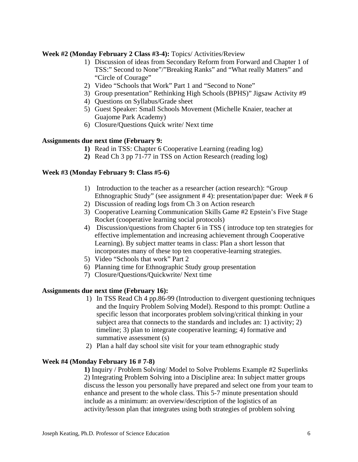# **Week #2 (Monday February 2 Class #3-4):** Topics/ Activities/Review

- 1) Discussion of ideas from Secondary Reform from Forward and Chapter 1 of TSS:" Second to None"/"Breaking Ranks" and "What really Matters" and "Circle of Courage"
- 2) Video "Schools that Work" Part 1 and "Second to None"
- 3) Group presentation" Rethinking High Schools (BPHS)" Jigsaw Activity #9
- 4) Questions on Syllabus/Grade sheet
- 5) Guest Speaker: Small Schools Movement (Michelle Knaier, teacher at Guajome Park Academy)
- 6) Closure/Questions Quick write/ Next time

# **Assignments due next time (February 9:**

- **1)** Read in TSS: Chapter 6 Cooperative Learning (reading log)
- **2)** Read Ch 3 pp 71-77 in TSS on Action Research (reading log)

# **Week #3 (Monday February 9: Class #5-6)**

- 1) Introduction to the teacher as a researcher (action research): "Group Ethnographic Study" (see assignment # 4): presentation/paper due: Week # 6
- 2) Discussion of reading logs from Ch 3 on Action research
- 3) Cooperative Learning Communication Skills Game #2 Epstein's Five Stage Rocket (cooperative learning social protocols)
- 4) Discussion/questions from Chapter 6 in TSS ( introduce top ten strategies for effective implementation and increasing achievement through Cooperative Learning). By subject matter teams in class: Plan a short lesson that incorporates many of these top ten cooperative-learning strategies.
- 5) Video "Schools that work" Part 2
- 6) Planning time for Ethnographic Study group presentation
- 7) Closure/Questions/Quickwrite/ Next time

# **Assignments due next time (February 16):**

- 1) In TSS Read Ch 4 pp.86-99 (Introduction to divergent questioning techniques and the Inquiry Problem Solving Model). Respond to this prompt: Outline a specific lesson that incorporates problem solving/critical thinking in your subject area that connects to the standards and includes an: 1) activity; 2) timeline; 3) plan to integrate cooperative learning; 4) formative and summative assessment (s)
- 2) Plan a half day school site visit for your team ethnographic study

# **Week #4 (Monday February 16 # 7-8)**

**1)** Inquiry / Problem Solving/ Model to Solve Problems Example #2 Superlinks 2) Integrating Problem Solving into a Discipline area: In subject matter groups discuss the lesson you personally have prepared and select one from your team to enhance and present to the whole class. This 5-7 minute presentation should include as a minimum: an overview/description of the logistics of an activity/lesson plan that integrates using both strategies of problem solving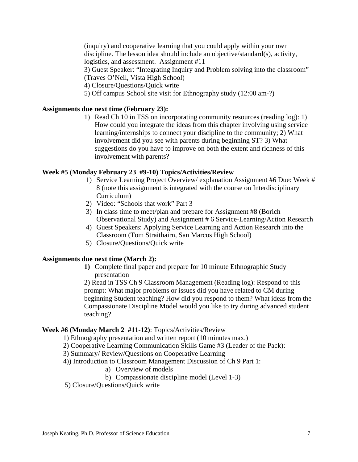(inquiry) and cooperative learning that you could apply within your own discipline. The lesson idea should include an objective/standard(s), activity, logistics, and assessment. Assignment #11 3) Guest Speaker: "Integrating Inquiry and Problem solving into the classroom" (Traves O'Neil, Vista High School) 4) Closure/Questions/Quick write 5) Off campus School site visit for Ethnography study (12:00 am-?)

### **Assignments due next time (February 23):**

 involvement with parents? 1) Read Ch 10 in TSS on incorporating community resources (reading log): 1) How could you integrate the ideas from this chapter involving using service learning/internships to connect your discipline to the community; 2) What involvement did you see with parents during beginning ST? 3) What suggestions do you have to improve on both the extent and richness of this

#### **Week #5 (Monday February 23 #9-10) Topics/Activities/Review**

- 1) Service Learning Project Overview/ explanation Assignment #6 Due: Week # 8 (note this assignment is integrated with the course on Interdisciplinary Curriculum)
- 2) Video: "Schools that work" Part 3
- 3) In class time to meet/plan and prepare for Assignment #8 (Borich Observational Study) and Assignment # 6 Service-Learning/Action Research
- 4) Guest Speakers: Applying Service Learning and Action Research into the Classroom (Tom Straithairn, San Marcos High School)
- 5) Closure/Questions/Quick write

#### **Assignments due next time (March 2):**

**1)** Complete final paper and prepare for 10 minute Ethnographic Study presentation

2) Read in TSS Ch 9 Classroom Management (Reading log): Respond to this prompt: What major problems or issues did you have related to CM during beginning Student teaching? How did you respond to them? What ideas from the Compassionate Discipline Model would you like to try during advanced student teaching?

### **Week #6 (Monday March 2 #11-12)**: Topics/Activities/Review

- 1) Ethnography presentation and written report (10 minutes max.)
- 2) Cooperative Learning Communication Skills Game #3 (Leader of the Pack):
- 3) Summary/ Review/Questions on Cooperative Learning
- 4)) Introduction to Classroom Management Discussion of Ch 9 Part 1:
	- a) Overview of models
	- b) Compassionate discipline model (Level 1-3)
- 5) Closure/Questions/Quick write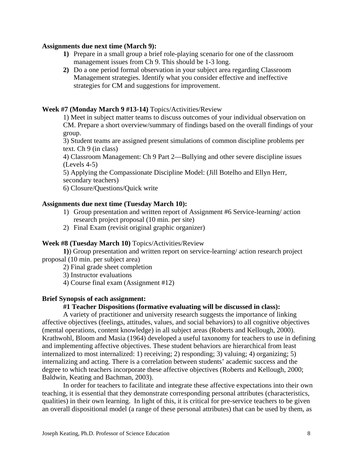### **Assignments due next time (March 9):**

- **1)** Prepare in a small group a brief role-playing scenario for one of the classroom management issues from Ch 9. This should be 1-3 long.
- **2)** Do a one period formal observation in your subject area regarding Classroom Management strategies. Identify what you consider effective and ineffective strategies for CM and suggestions for improvement.

# **Week #7 (Monday March 9 #13-14)** Topics/Activities/Review

1) Meet in subject matter teams to discuss outcomes of your individual observation on CM. Prepare a short overview/summary of findings based on the overall findings of your group.

3) Student teams are assigned present simulations of common discipline problems per text. Ch 9 (in class)

4) Classroom Management: Ch 9 Part 2—Bullying and other severe discipline issues (Levels 4-5)

5) Applying the Compassionate Discipline Model: (Jill Botelho and Ellyn Herr, secondary teachers)

6) Closure/Questions/Quick write

# **Assignments due next time (Tuesday March 10):**

- 1) Group presentation and written report of Assignment #6 Service-learning/ action research project proposal (10 min. per site)
- 2) Final Exam (revisit original graphic organizer)

# **Week #8 (Tuesday March 10)** Topics/Activities/Review

**1)**) Group presentation and written report on service-learning/ action research project proposal (10 min. per subject area)

2) Final grade sheet completion

3) Instructor evaluations

4) Course final exam (Assignment #12)

# **Brief Synopsis of each assignment:**

# **#1 Teacher Dispositions (formative evaluating will be discussed in class):**

A variety of practitioner and university research suggests the importance of linking affective objectives (feelings, attitudes, values, and social behaviors) to all cognitive objectives (mental operations, content knowledge) in all subject areas (Roberts and Kellough, 2000). Krathwohl, Bloom and Masia (1964) developed a useful taxonomy for teachers to use in defining and implementing affective objectives. These student behaviors are hierarchical from least internalized to most internalized: 1) receiving; 2) responding; 3) valuing; 4) organizing; 5) internalizing and acting. There is a correlation between students' academic success and the degree to which teachers incorporate these affective objectives (Roberts and Kellough, 2000; Baldwin, Keating and Bachman, 2003).

In order for teachers to facilitate and integrate these affective expectations into their own teaching, it is essential that they demonstrate corresponding personal attributes (characteristics, qualities) in their own learning. In light of this, it is critical for pre-service teachers to be given an overall dispositional model (a range of these personal attributes) that can be used by them, as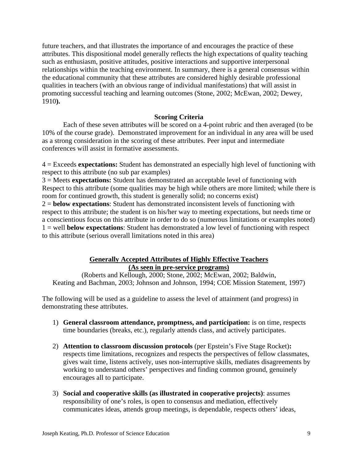future teachers, and that illustrates the importance of and encourages the practice of these attributes. This dispositional model generally reflects the high expectations of quality teaching such as enthusiasm, positive attitudes, positive interactions and supportive interpersonal relationships within the teaching environment. In summary, there is a general consensus within the educational community that these attributes are considered highly desirable professional qualities in teachers (with an obvious range of individual manifestations) that will assist in promoting successful teaching and learning outcomes (Stone, 2002; McEwan, 2002; Dewey, 1910**).** 

### **Scoring Criteria**

Each of these seven attributes will be scored on a 4-point rubric and then averaged (to be 10% of the course grade). Demonstrated improvement for an individual in any area will be used as a strong consideration in the scoring of these attributes. Peer input and intermediate conferences will assist in formative assessments.

4 = Exceeds **expectations:** Student has demonstrated an especially high level of functioning with respect to this attribute (no sub par examples)

3 = Meets **expectations:** Student has demonstrated an acceptable level of functioning with Respect to this attribute (some qualities may be high while others are more limited; while there is room for continued growth, this student is generally solid; no concerns exist) 2 = **below expectations**: Student has demonstrated inconsistent levels of functioning with respect to this attribute; the student is on his/her way to meeting expectations, but needs time or a conscientious focus on this attribute in order to do so (numerous limitations or examples noted) 1 = well **below expectations**: Student has demonstrated a low level of functioning with respect to this attribute (serious overall limitations noted in this area)

### **Generally Accepted Attributes of Highly Effective Teachers (As seen in pre-service programs)**

(Roberts and Kellough, 2000; Stone, 2002; McEwan, 2002; Baldwin, Keating and Bachman, 2003; Johnson and Johnson, 1994; COE Mission Statement, 1997)

The following will be used as a guideline to assess the level of attainment (and progress) in demonstrating these attributes.

- 1) **General classroom attendance, promptness, and participation:** is on time, respects time boundaries (breaks, etc.), regularly attends class, and actively participates.
- 2) **Attention to classroom discussion protocols** (per Epstein's Five Stage Rocket)**:**  respects time limitations, recognizes and respects the perspectives of fellow classmates, gives wait time, listens actively, uses non-interruptive skills, mediates disagreements by working to understand others' perspectives and finding common ground, genuinely encourages all to participate.
- 3) **Social and cooperative skills (as illustrated in cooperative projects)**: assumes responsibility of one's roles, is open to consensus and mediation, effectively communicates ideas, attends group meetings, is dependable, respects others' ideas,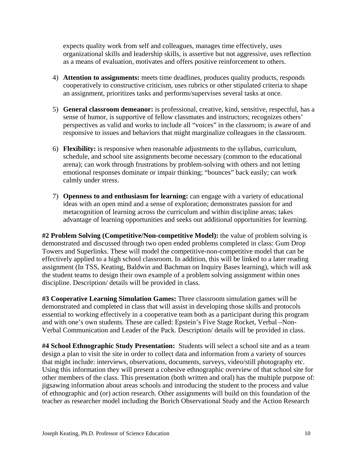expects quality work from self and colleagues, manages time effectively, uses organizational skills and leadership skills, is assertive but not aggressive, uses reflection as a means of evaluation, motivates and offers positive reinforcement to others.

- 4) **Attention to assignments:** meets time deadlines, produces quality products, responds cooperatively to constructive criticism, uses rubrics or other stipulated criteria to shape an assignment, prioritizes tasks and performs/supervises several tasks at once.
- 5) **General classroom demeanor:** is professional, creative, kind, sensitive, respectful, has a sense of humor, is supportive of fellow classmates and instructors; recognizes others' perspectives as valid and works to include all "voices" in the classroom; is aware of and responsive to issues and behaviors that might marginalize colleagues in the classroom.
- 6) **Flexibility:** is responsive when reasonable adjustments to the syllabus, curriculum, schedule, and school site assignments become necessary (common to the educational arena); can work through frustrations by problem-solving with others and not letting emotional responses dominate or impair thinking; "bounces" back easily; can work calmly under stress.
- 7) **Openness to and enthusiasm for learning:** can engage with a variety of educational ideas with an open mind and a sense of exploration; demonstrates passion for and metacognition of learning across the curriculum and within discipline areas; takes advantage of learning opportunities and seeks out additional opportunities for learning.

**#2 Problem Solving (Competitive/Non-competitive Model):** the value of problem solving is demonstrated and discussed through two open ended problems completed in class: Gum Drop Towers and Superlinks. These will model the competitive-non-competitive model that can be effectively applied to a high school classroom. In addition, this will be linked to a later reading assignment (In TSS, Keating, Baldwin and Bachman on Inquiry Bases learning), which will ask the student teams to design their own example of a problem solving assignment within ones discipline. Description/ details will be provided in class.

**#3 Cooperative Learning Simulation Games:** Three classroom simulation games will be demonstrated and completed in class that will assist in developing those skills and protocols essential to working effectively in a cooperative team both as a participant during this program and with one's own students. These are called: Epstein's Five Stage Rocket, Verbal –Non-Verbal Communication and Leader of the Pack. Description/ details will be provided in class.

**#4 School Ethnographic Study Presentation:** Students will select a school site and as a team design a plan to visit the site in order to collect data and information from a variety of sources that might include: interviews, observations, documents, surveys, video/still photography etc. Using this information they will present a cohesive ethnographic overview of that school site for other members of the class. This presentation (both written and oral) has the multiple purpose of: jigsawing information about areas schools and introducing the student to the process and value of ethnographic and (or) action research. Other assignments will build on this foundation of the teacher as researcher model including the Borich Observational Study and the Action Research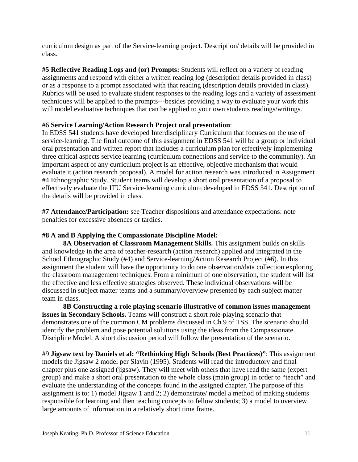curriculum design as part of the Service-learning project. Description/ details will be provided in class.

**#5 Reflective Reading Logs and (or) Prompts:** Students will reflect on a variety of reading assignments and respond with either a written reading log (description details provided in class) or as a response to a prompt associated with that reading (description details provided in class). Rubrics will be used to evaluate student responses to the reading logs and a variety of assessment techniques will be applied to the prompts---besides providing a way to evaluate your work this will model evaluative techniques that can be applied to your own students readings/writings.

# #6 **Service Learning/Action Research Project oral presentation**:

In EDSS 541 students have developed Interdisciplinary Curriculum that focuses on the use of service-learning. The final outcome of this assignment in EDSS 541 will be a group or individual oral presentation and written report that includes a curriculum plan for effectively implementing three critical aspects service learning (curriculum connections and service to the community). An important aspect of any curriculum project is an effective, objective mechanism that would evaluate it (action research proposal). A model for action research was introduced in Assignment #4 Ethnographic Study. Student teams will develop a short oral presentation of a proposal to effectively evaluate the ITU Service-learning curriculum developed in EDSS 541. Description of the details will be provided in class.

**#7 Attendance/Participation:** see Teacher dispositions and attendance expectations: note penalties for excessive absences or tardies.

# **#8 A and B Applying the Compassionate Discipline Model:**

**8A Observation of Classroom Management Skills.** This assignment builds on skills and knowledge in the area of teacher-research (action research) applied and integrated in the School Ethnographic Study (#4) and Service-learning/Action Research Project (#6). In this assignment the student will have the opportunity to do one observation/data collection exploring the classroom management techniques. From a minimum of one observation, the student will list the effective and less effective strategies observed. These individual observations will be discussed in subject matter teams and a summary/overview presented by each subject matter team in class.

**8B Constructing a role playing scenario illustrative of common issues management issues in Secondary Schools.** Teams will construct a short role-playing scenario that demonstrates one of the common CM problems discussed in Ch 9 of TSS. The scenario should identify the problem and pose potential solutions using the ideas from the Compassionate Discipline Model. A short discussion period will follow the presentation of the scenario.

#9 **Jigsaw text by Daniels et al: "Rethinking High Schools (Best Practices)"**: This assignment models the Jigsaw 2 model per Slavin (1995). Students will read the introductory and final chapter plus one assigned (jigsaw). They will meet with others that have read the same (expert group) and make a short oral presentation to the whole class (main group) in order to "teach" and evaluate the understanding of the concepts found in the assigned chapter. The purpose of this assignment is to: 1) model Jigsaw 1 and 2; 2) demonstrate/ model a method of making students responsible for learning and then teaching concepts to fellow students; 3) a model to overview large amounts of information in a relatively short time frame.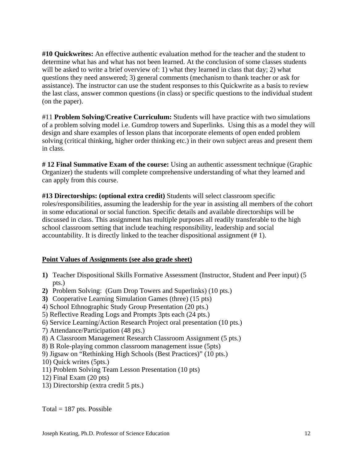**#10 Quickwrites:** An effective authentic evaluation method for the teacher and the student to determine what has and what has not been learned. At the conclusion of some classes students will be asked to write a brief overview of: 1) what they learned in class that day; 2) what questions they need answered; 3) general comments (mechanism to thank teacher or ask for assistance). The instructor can use the student responses to this Quickwrite as a basis to review the last class, answer common questions (in class) or specific questions to the individual student (on the paper).

#11 **Problem Solving/Creative Curriculum:** Students will have practice with two simulations of a problem solving model i.e. Gumdrop towers and Superlinks. Using this as a model they will design and share examples of lesson plans that incorporate elements of open ended problem solving (critical thinking, higher order thinking etc.) in their own subject areas and present them in class.

**# 12 Final Summative Exam of the course:** Using an authentic assessment technique (Graphic Organizer) the students will complete comprehensive understanding of what they learned and can apply from this course.

 accountability. It is directly linked to the teacher dispositional assignment (# 1). **#13 Directorships: (optional extra credit)** Students will select classroom specific roles/responsibilities, assuming the leadership for the year in assisting all members of the cohort in some educational or social function. Specific details and available directorships will be discussed in class. This assignment has multiple purposes all readily transferable to the high school classroom setting that include teaching responsibility, leadership and social

# **Point Values of Assignments (see also grade sheet)**

- **1)** Teacher Dispositional Skills Formative Assessment (Instructor, Student and Peer input) (5 pts.)
- **2)** Problem Solving: (Gum Drop Towers and Superlinks) (10 pts.)
- **3)** Cooperative Learning Simulation Games (three) (15 pts)
- 4) School Ethnographic Study Group Presentation (20 pts.)
- 5) Reflective Reading Logs and Prompts 3pts each (24 pts.)
- 6) Service Learning/Action Research Project oral presentation (10 pts.)
- 7) Attendance/Participation (48 pts.)
- 8) A Classroom Management Research Classroom Assignment (5 pts.)
- 8) B Role-playing common classroom management issue (5pts)
- 9) Jigsaw on "Rethinking High Schools (Best Practices)" (10 pts.)
- 10) Quick writes (5pts.)
- 11) Problem Solving Team Lesson Presentation (10 pts)
- 12) Final Exam (20 pts)
- 13) Directorship (extra credit 5 pts.)

Total  $= 187$  pts. Possible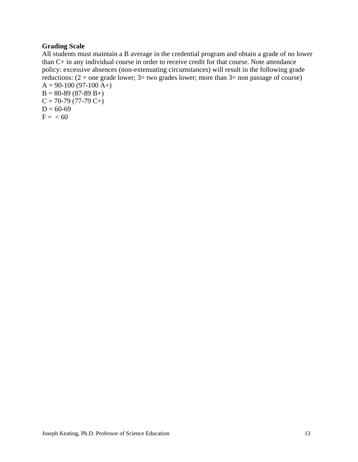# **Grading Scale**

All students must maintain a B average in the credential program and obtain a grade of no lower than C+ in any individual course in order to receive credit for that course. Note attendance policy: excessive absences (non-extenuating circumstances) will result in the following grade reductions:  $(2 =$  one grade lower;  $3 =$  two grades lower; more than  $3 =$  non passage of course)  $A = 90-100 (97-100 A+)$  $B = 80-89(87-89 B+$  $C = 70-79(77-79 C+)$  $D = 60-69$  $F = < 60$